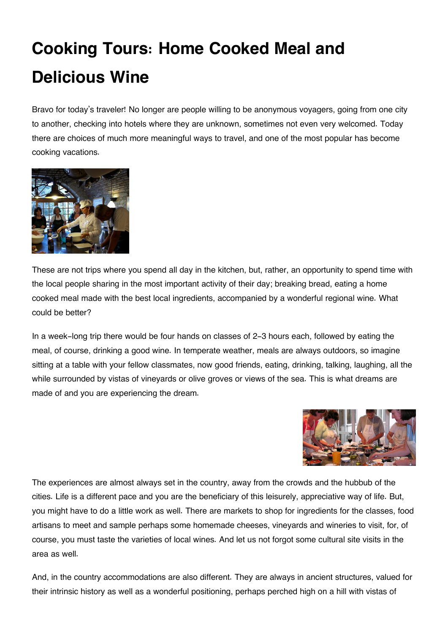## **Cooking Tours: Home Cooked Meal and Delicious Wine**

Bravo for today's traveler! No longer are people willing to be anonymous voyagers, going from one city to another, checking into hotels where they are unknown, sometimes not even very welcomed. Today there are choices of much more meaningful ways to travel, and one of the most popular has become cooking vacations.



These are not trips where you spend all day in the kitchen, but, rather, an opportunity to spend time with the local people sharing in the most important activity of their day; breaking bread, eating a home cooked meal made with the best local ingredients, accompanied by a wonderful regional wine. What could be better?

In a week-long trip there would be four hands on classes of 2-3 hours each, followed by eating the meal, of course, drinking a good wine. In temperate weather, meals are always outdoors, so imagine sitting at a table with your fellow classmates, now good friends, eating, drinking, talking, laughing, all the while surrounded by vistas of vineyards or olive groves or views of the sea. This is what dreams are made of and you are experiencing the dream.



The experiences are almost always set in the country, away from the crowds and the hubbub of the cities. Life is a different pace and you are the beneficiary of this leisurely, appreciative way of life. But, you might have to do a little work as well. There are markets to shop for ingredients for the classes, food artisans to meet and sample perhaps some homemade cheeses, vineyards and wineries to visit, for, of course, you must taste the varieties of local wines. And let us not forgot some cultural site visits in the area as well.

And, in the country accommodations are also different. They are always in ancient structures, valued for their intrinsic history as well as a wonderful positioning, perhaps perched high on a hill with vistas of